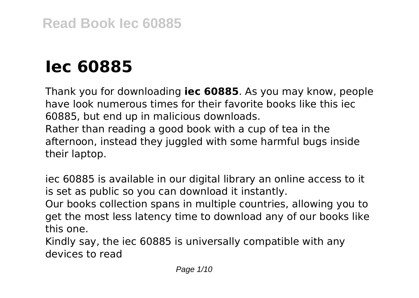# **Iec 60885**

Thank you for downloading **iec 60885**. As you may know, people have look numerous times for their favorite books like this iec 60885, but end up in malicious downloads. Rather than reading a good book with a cup of tea in the afternoon, instead they juggled with some harmful bugs inside their laptop.

iec 60885 is available in our digital library an online access to it is set as public so you can download it instantly.

Our books collection spans in multiple countries, allowing you to get the most less latency time to download any of our books like this one.

Kindly say, the iec 60885 is universally compatible with any devices to read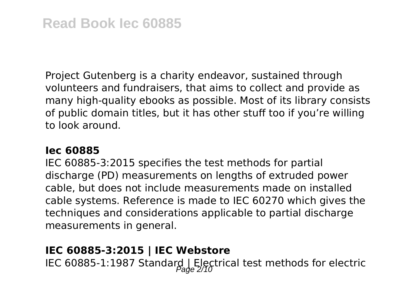Project Gutenberg is a charity endeavor, sustained through volunteers and fundraisers, that aims to collect and provide as many high-quality ebooks as possible. Most of its library consists of public domain titles, but it has other stuff too if you're willing to look around.

#### **Iec 60885**

IEC 60885-3:2015 specifies the test methods for partial discharge (PD) measurements on lengths of extruded power cable, but does not include measurements made on installed cable systems. Reference is made to IEC 60270 which gives the techniques and considerations applicable to partial discharge measurements in general.

# **IEC 60885-3:2015 | IEC Webstore**

IEC 60885-1:1987 Standard | Electrical test methods for electric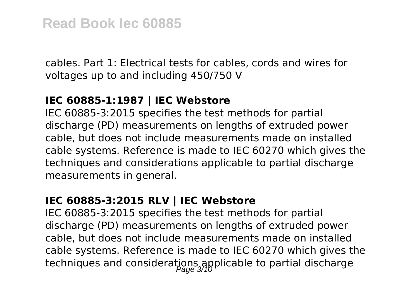cables. Part 1: Electrical tests for cables, cords and wires for voltages up to and including 450/750 V

#### **IEC 60885-1:1987 | IEC Webstore**

IEC 60885-3:2015 specifies the test methods for partial discharge (PD) measurements on lengths of extruded power cable, but does not include measurements made on installed cable systems. Reference is made to IEC 60270 which gives the techniques and considerations applicable to partial discharge measurements in general.

# **IEC 60885-3:2015 RLV | IEC Webstore**

IEC 60885-3:2015 specifies the test methods for partial discharge (PD) measurements on lengths of extruded power cable, but does not include measurements made on installed cable systems. Reference is made to IEC 60270 which gives the techniques and considerations applicable to partial discharge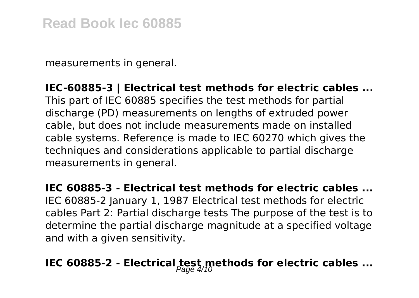measurements in general.

#### **IEC-60885-3 | Electrical test methods for electric cables ...**

This part of IEC 60885 specifies the test methods for partial discharge (PD) measurements on lengths of extruded power cable, but does not include measurements made on installed cable systems. Reference is made to IEC 60270 which gives the techniques and considerations applicable to partial discharge measurements in general.

**IEC 60885-3 - Electrical test methods for electric cables ...** IEC 60885-2 January 1, 1987 Electrical test methods for electric cables Part 2: Partial discharge tests The purpose of the test is to determine the partial discharge magnitude at a specified voltage and with a given sensitivity.

# **IEC 60885-2 - Electrical test methods for electric cables ...**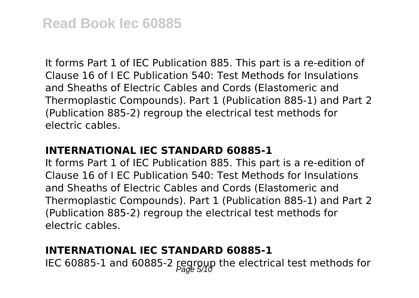It forms Part 1 of IEC Publication 885. This part is a re-edition of Clause 16 of I EC Publication 540: Test Methods for Insulations and Sheaths of Electric Cables and Cords (Elastomeric and Thermoplastic Compounds). Part 1 (Publication 885-1) and Part 2 (Publication 885-2) regroup the electrical test methods for electric cables.

#### **INTERNATIONAL IEC STANDARD 60885-1**

It forms Part 1 of IEC Publication 885. This part is a re-edition of Clause 16 of I EC Publication 540: Test Methods for Insulations and Sheaths of Electric Cables and Cords (Elastomeric and Thermoplastic Compounds). Part 1 (Publication 885-1) and Part 2 (Publication 885-2) regroup the electrical test methods for electric cables.

# **INTERNATIONAL IEC STANDARD 60885-1**

IEC 60885-1 and 60885-2 regroup the electrical test methods for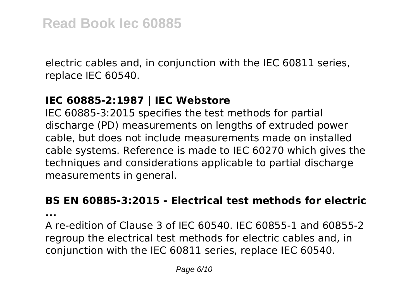electric cables and, in conjunction with the IEC 60811 series, replace IEC 60540.

# **IEC 60885-2:1987 | IEC Webstore**

IEC 60885-3:2015 specifies the test methods for partial discharge (PD) measurements on lengths of extruded power cable, but does not include measurements made on installed cable systems. Reference is made to IEC 60270 which gives the techniques and considerations applicable to partial discharge measurements in general.

# **BS EN 60885-3:2015 - Electrical test methods for electric**

**...**

A re-edition of Clause 3 of IEC 60540. IEC 60855-1 and 60855-2 regroup the electrical test methods for electric cables and, in conjunction with the IEC 60811 series, replace IEC 60540.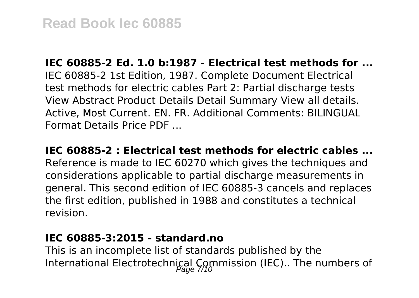**IEC 60885-2 Ed. 1.0 b:1987 - Electrical test methods for ...** IEC 60885-2 1st Edition, 1987. Complete Document Electrical test methods for electric cables Part 2: Partial discharge tests View Abstract Product Details Detail Summary View all details. Active, Most Current. EN. FR. Additional Comments: BILINGUAL Format Details Price PDF ...

**IEC 60885-2 : Electrical test methods for electric cables ...** Reference is made to IEC 60270 which gives the techniques and considerations applicable to partial discharge measurements in general. This second edition of IEC 60885-3 cancels and replaces the first edition, published in 1988 and constitutes a technical revision.

#### **IEC 60885-3:2015 - standard.no**

This is an incomplete list of standards published by the International Electrotechnical Commission (IEC).. The numbers of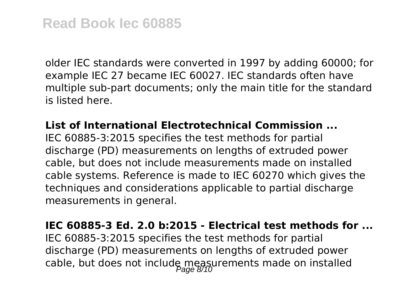older IEC standards were converted in 1997 by adding 60000; for example IEC 27 became IEC 60027. IEC standards often have multiple sub-part documents; only the main title for the standard is listed here.

#### **List of International Electrotechnical Commission ...**

IEC 60885-3:2015 specifies the test methods for partial discharge (PD) measurements on lengths of extruded power cable, but does not include measurements made on installed cable systems. Reference is made to IEC 60270 which gives the techniques and considerations applicable to partial discharge measurements in general.

#### **IEC 60885-3 Ed. 2.0 b:2015 - Electrical test methods for ...**

IEC 60885-3:2015 specifies the test methods for partial discharge (PD) measurements on lengths of extruded power cable, but does not include measurements made on installed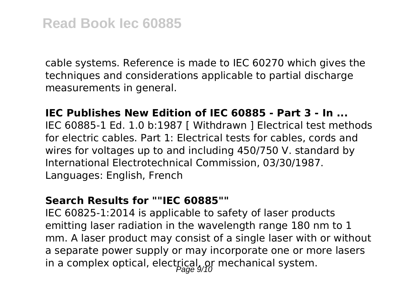cable systems. Reference is made to IEC 60270 which gives the techniques and considerations applicable to partial discharge measurements in general.

# **IEC Publishes New Edition of IEC 60885 - Part 3 - In ...**

IEC 60885-1 Ed. 1.0 b:1987 [ Withdrawn ] Electrical test methods for electric cables. Part 1: Electrical tests for cables, cords and wires for voltages up to and including 450/750 V. standard by International Electrotechnical Commission, 03/30/1987. Languages: English, French

#### **Search Results for ""IEC 60885""**

IEC 60825-1:2014 is applicable to safety of laser products emitting laser radiation in the wavelength range 180 nm to 1 mm. A laser product may consist of a single laser with or without a separate power supply or may incorporate one or more lasers in a complex optical, electrical,  $\rho f$  mechanical system.